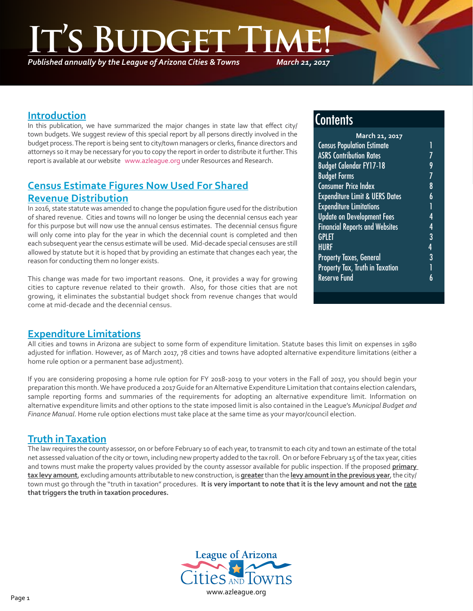*Published annually by the League of Arizona Cities & Towns*

*March 21, 2017*

### **Introduction**

٦

In this publication, we have summarized the major changes in state law that effect city/ town budgets. We suggest review of this special report by all persons directly involved in the budget process. The report is being sent to city/town managers or clerks, finance directors and attorneys so it may be necessary for you to copy the report in order to distribute it further. This report is available at our website [www.azleague.org](http://www.azleague.org) under Resources and Research.

# **Census Estimate Figures Now Used For Shared Revenue Distribution**

In 2016, state statute was amended to change the population figure used for the distribution of shared revenue. Cities and towns will no longer be using the decennial census each year for this purpose but will now use the annual census estimates. The decennial census figure will only come into play for the year in which the decennial count is completed and then each subsequent year the census estimate will be used. Mid-decade special censuses are still allowed by statute but it is hoped that by providing an estimate that changes each year, the reason for conducting them no longer exists.

This change was made for two important reasons. One, it provides a way for growing cities to capture revenue related to their growth. Also, for those cities that are not growing, it eliminates the substantial budget shock from revenue changes that would come at mid-decade and the decennial census.

# **Contents**

| March 21, 2017                            |   |  |
|-------------------------------------------|---|--|
| <b>Census Population Estimate</b>         | 1 |  |
| <b>ASRS Contribution Rates</b>            |   |  |
| <b>Budget Calendar FY17-18</b>            | 9 |  |
| <b>Budget Forms</b>                       | 7 |  |
| <b>Consumer Price Index</b>               | 8 |  |
| <b>Expenditure Limit &amp; UERS Dates</b> | 6 |  |
| <b>Expenditure Limitations</b>            |   |  |
| <b>Update on Development Fees</b>         | 4 |  |
| <b>Financial Reports and Websites</b>     | 4 |  |
| <b>GPLET</b>                              | 3 |  |
| <b>HURF</b>                               | 4 |  |
| <b>Property Taxes, General</b>            | 3 |  |
| Property Tax, Truth in Taxation           |   |  |
| <b>Reserve Fund</b>                       |   |  |
|                                           |   |  |

### **Expenditure Limitations**

All cities and towns in Arizona are subject to some form of expenditure limitation. Statute bases this limit on expenses in 1980 adjusted for inflation. However, as of March 2017, 78 cities and towns have adopted alternative expenditure limitations (either a home rule option or a permanent base adjustment).

If you are considering proposing a home rule option for FY 2018-2019 to your voters in the Fall of 2017, you should begin your preparation this month. We have produced a 2017 Guide for an Alternative Expenditure Limitation that contains election calendars, sample reporting forms and summaries of the requirements for adopting an alternative expenditure limit. Information on alternative expenditure limits and other options to the state imposed limit is also contained in the League's *Municipal Budget and Finance Manual*. Home rule option elections must take place at the same time as your mayor/council election.

### **Truth in Taxation**

The law requires the county assessor, on or before February 10 of each year, to transmit to each city and town an estimate of the total net assessed valuation of the city or town, including new property added to the tax roll. On or before February 15 of the tax year, cities and towns must make the property values provided by the county assessor available for public inspection. If the proposed **primary tax levy amount**, excluding amounts attributable to new construction, is **greater** than the **levy amount in the previous year**, the city/ town must go through the "truth in taxation" procedures. **It is very important to note that it is the levy amount and not the rate that triggers the truth in taxation procedures.**

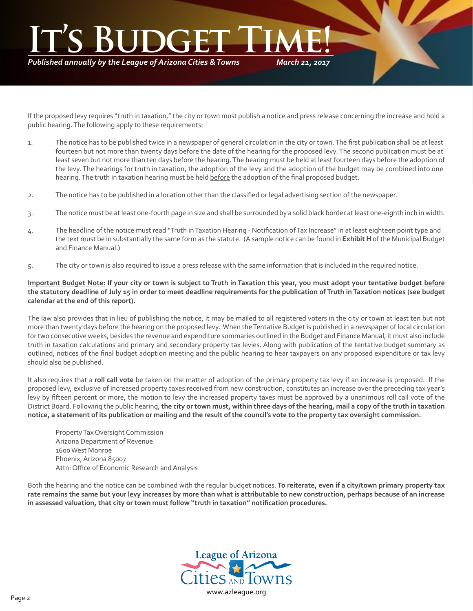# *March 21, 2017* **It's Budget Time!**

*Published annually by the League of Arizona Cities & Towns*

If the proposed levy requires "truth in taxation," the city or town must publish a notice and press release concerning the increase and hold a public hearing. The following apply to these requirements:

- 1. The notice has to be published twice in a newspaper of general circulation in the city or town. The first publication shall be at least fourteen but not more than twenty days before the date of the hearing for the proposed levy. The second publication must be at least seven but not more than ten days before the hearing. The hearing must be held at least fourteen days before the adoption of the levy. The hearings for truth in taxation, the adoption of the levy and the adoption of the budget may be combined into one hearing. The truth in taxation hearing must be held before the adoption of the final proposed budget.
- 2. The notice has to be published in a location other than the classified or legal advertising section of the newspaper.
- 3. The notice must be at least one-fourth page in size and shall be surrounded by a solid black border at least one-eighth inch in width.
- 4. The headline of the notice must read "Truth in Taxation Hearing Notification of Tax Increase" in at least eighteen point type and the text must be in substantially the same form as the statute. (A sample notice can be found in **Exhibit H** of the Municipal Budget and Finance Manual.)
- 5. The city or town is also required to issue a press release with the same information that is included in the required notice.

**Important Budget Note: If your city or town is subject to Truth in Taxation this year, you must adopt your tentative budget before the statutory deadline of July 15 in order to meet deadline requirements for the publication of Truth in Taxation notices (see budget calendar at the end of this report).**

The law also provides that in lieu of publishing the notice, it may be mailed to all registered voters in the city or town at least ten but not more than twenty days before the hearing on the proposed levy. When the Tentative Budget is published in a newspaper of local circulation for two consecutive weeks, besides the revenue and expenditure summaries outlined in the Budget and Finance Manual, it must also include truth in taxation calculations and primary and secondary property tax levies. Along with publication of the tentative budget summary as outlined, notices of the final budget adoption meeting and the public hearing to hear taxpayers on any proposed expenditure or tax levy should also be published.

It also requires that a **roll call vote** be taken on the matter of adoption of the primary property tax levy if an increase is proposed. If the proposed levy, exclusive of increased property taxes received from new construction, constitutes an increase over the preceding tax year's levy by fifteen percent or more, the motion to levy the increased property taxes must be approved by a unanimous roll call vote of the District Board. Following the public hearing, **the city or town must, within three days of the hearing, mail a copy of the truth in taxation notice, a statement of its publication or mailing and the result of the council's vote to the property tax oversight commission.**

Property Tax Oversight Commission Arizona Department of Revenue 1600 West Monroe Phoenix, Arizona 85007 Attn: Office of Economic Research and Analysis

Both the hearing and the notice can be combined with the regular budget notices. **To reiterate, even if a city/town primary property tax rate remains the same but your levy increases by more than what is attributable to new construction, perhaps because of an increase in assessed valuation, that city or town must follow "truth in taxation" notification procedures.**

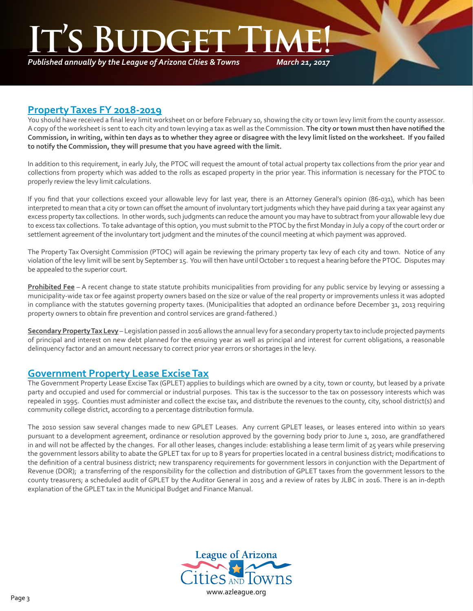**ITE** 

*Published annually by the League of Arizona Cities & Towns*

*March 21, 2017*

### **Property Taxes FY 2018-2019**

٦

You should have received a final levy limit worksheet on or before February 10, showing the city or town levy limit from the county assessor. A copy of the worksheet is sent to each city and town levying a tax as well as the Commission. **The city or town must then have notified the Commission, in writing, within ten days as to whether they agree or disagree with the levy limit listed on the worksheet. If you failed to notify the Commission, they will presume that you have agreed with the limit.**

In addition to this requirement, in early July, the PTOC will request the amount of total actual property tax collections from the prior year and collections from property which was added to the rolls as escaped property in the prior year. This information is necessary for the PTOC to properly review the levy limit calculations.

If you find that your collections exceed your allowable levy for last year, there is an Attorney General's opinion (86-031), which has been interpreted to mean that a city or town can offset the amount of involuntary tort judgments which they have paid during a tax year against any excess property tax collections. In other words, such judgments can reduce the amount you may have to subtract from your allowable levy due to excess tax collections. To take advantage of this option, you must submit to the PTOC by the first Monday in July a copy of the court order or settlement agreement of the involuntary tort judgment and the minutes of the council meeting at which payment was approved.

The Property Tax Oversight Commission (PTOC) will again be reviewing the primary property tax levy of each city and town. Notice of any violation of the levy limit will be sent by September 15. You will then have until October 1 to request a hearing before the PTOC. Disputes may be appealed to the superior court.

**Prohibited Fee** – A recent change to state statute prohibits municipalities from providing for any public service by levying or assessing a municipality-wide tax or fee against property owners based on the size or value of the real property or improvements unless it was adopted in compliance with the statutes governing property taxes. (Municipalities that adopted an ordinance before December 31, 2013 requiring property owners to obtain fire prevention and control services are grand-fathered.)

**Secondary Property Tax Levy** – Legislation passed in 2016 allows the annual levy for a secondary property tax to include projected payments of principal and interest on new debt planned for the ensuing year as well as principal and interest for current obligations, a reasonable delinquency factor and an amount necessary to correct prior year errors or shortages in the levy.

### **Government Property Lease Excise Tax**

The Government Property Lease Excise Tax (GPLET) applies to buildings which are owned by a city, town or county, but leased by a private party and occupied and used for commercial or industrial purposes. This tax is the successor to the tax on possessory interests which was repealed in 1995. Counties must administer and collect the excise tax, and distribute the revenues to the county, city, school district(s) and community college district, according to a percentage distribution formula.

The 2010 session saw several changes made to new GPLET Leases. Any current GPLET leases, or leases entered into within 10 years pursuant to a development agreement, ordinance or resolution approved by the governing body prior to June 1, 2010, are grandfathered in and will not be affected by the changes. For all other leases, changes include: establishing a lease term limit of 25 years while preserving the government lessors ability to abate the GPLET tax for up to 8 years for properties located in a central business district; modifications to the definition of a central business district; new transparency requirements for government lessors in conjunction with the Department of Revenue (DOR); a transferring of the responsibility for the collection and distribution of GPLET taxes from the government lessors to the county treasurers; a scheduled audit of GPLET by the Auditor General in 2015 and a review of rates by JLBC in 2016. There is an in-depth explanation of the GPLET tax in the Municipal Budget and Finance Manual.

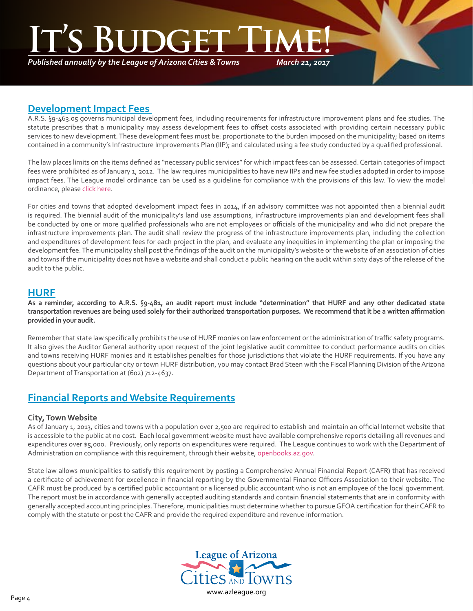*Published annually by the League of Arizona Cities & Towns*

*March 21, 2017*

### **Development Impact Fees**

A.R.S. §9-463.05 governs municipal development fees, including requirements for infrastructure improvement plans and fee studies. The statute prescribes that a municipality may assess development fees to offset costs associated with providing certain necessary public services to new development. These development fees must be: proportionate to the burden imposed on the municipality; based on items contained in a community's Infrastructure Improvements Plan (IIP); and calculated using a fee study conducted by a qualified professional.

The law places limits on the items defined as "necessary public services" for which impact fees can be assessed. Certain categories of impact fees were prohibited as of January 1, 2012. The law requires municipalities to have new IIPs and new fee studies adopted in order to impose impact fees. The League model ordinance can be used as a guideline for compliance with the provisions of this law. To view the model ordinance, please [click here](http://az-lact.civicplus.com/DocumentCenter/View/1708).

For cities and towns that adopted development impact fees in 2014, if an advisory committee was not appointed then a biennial audit is required. The biennial audit of the municipality's land use assumptions, infrastructure improvements plan and development fees shall be conducted by one or more qualified professionals who are not employees or officials of the municipality and who did not prepare the infrastructure improvements plan. The audit shall review the progress of the infrastructure improvements plan, including the collection and expenditures of development fees for each project in the plan, and evaluate any inequities in implementing the plan or imposing the development fee. The municipality shall post the findings of the audit on the municipality's website or the website of an association of cities and towns if the municipality does not have a website and shall conduct a public hearing on the audit within sixty days of the release of the audit to the public.

### **HURF**

٦

**As a reminder, according to A.R.S. §9-481, an audit report must include "determination" that HURF and any other dedicated state transportation revenues are being used solely for their authorized transportation purposes. We recommend that it be a written affirmation provided in your audit.**

Remember that state law specifically prohibits the use of HURF monies on law enforcement or the administration of traffic safety programs. It also gives the Auditor General authority upon request of the joint legislative audit committee to conduct performance audits on cities and towns receiving HURF monies and it establishes penalties for those jurisdictions that violate the HURF requirements. If you have any questions about your particular city or town HURF distribution, you may contact Brad Steen with the Fiscal Planning Division of the Arizona Department of Transportation at (602) 712-4637.

### **Financial Reports and Website Requirements**

### **City, Town Website**

As of January 1, 2013, cities and towns with a population over 2,500 are required to establish and maintain an official Internet website that is accessible to the public at no cost. Each local government website must have available comprehensive reports detailing all revenues and expenditures over \$5,000. Previously, only reports on expenditures were required. The League continues to work with the Department of Administration on compliance with this requirement, through their website, [openbooks.az.gov](http://openbooks.az.gov).

State law allows municipalities to satisfy this requirement by posting a Comprehensive Annual Financial Report (CAFR) that has received a certificate of achievement for excellence in financial reporting by the Governmental Finance Officers Association to their website. The CAFR must be produced by a certified public accountant or a licensed public accountant who is not an employee of the local government. The report must be in accordance with generally accepted auditing standards and contain financial statements that are in conformity with generally accepted accounting principles. Therefore, municipalities must determine whether to pursue GFOA certification for their CAFR to comply with the statute or post the CAFR and provide the required expenditure and revenue information.

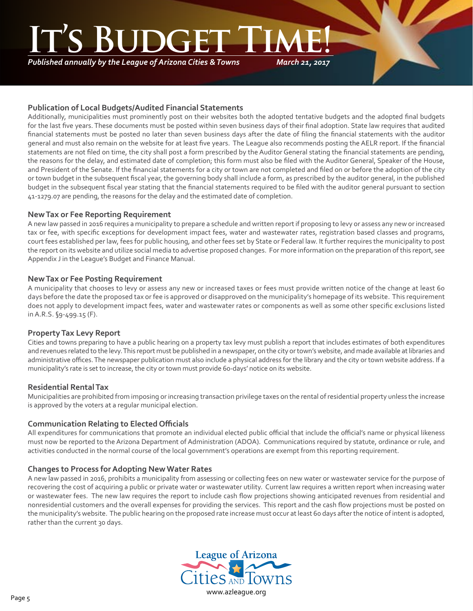*Published annually by the League of Arizona Cities & Towns*

*March 21, 2017*

### **Publication of Local Budgets/Audited Financial Statements**

Additionally, municipalities must prominently post on their websites both the adopted tentative budgets and the adopted final budgets for the last five years. These documents must be posted within seven business days of their final adoption. State law requires that audited financial statements must be posted no later than seven business days after the date of filing the financial statements with the auditor general and must also remain on the website for at least five years. The League also recommends posting the AELR report. If the financial statements are not filed on time, the city shall post a form prescribed by the Auditor General stating the financial statements are pending, the reasons for the delay, and estimated date of completion; this form must also be filed with the Auditor General, Speaker of the House, and President of the Senate. If the financial statements for a city or town are not completed and filed on or before the adoption of the city or town budget in the subsequent fiscal year, the governing body shall include a form, as prescribed by the auditor general, in the published budget in the subsequent fiscal year stating that the financial statements required to be filed with the auditor general pursuant to section 41-1279.07 are pending, the reasons for the delay and the estimated date of completion.

### **New Tax or Fee Reporting Requirement**

A new law passed in 2016 requires a municipality to prepare a schedule and written report if proposing to levy or assess any new or increased tax or fee, with specific exceptions for development impact fees, water and wastewater rates, registration based classes and programs, court fees established per law, fees for public housing, and other fees set by State or Federal law. It further requires the municipality to post the report on its website and utilize social media to advertise proposed changes. For more information on the preparation of this report, see Appendix J in the League's Budget and Finance Manual.

### **New Tax or Fee Posting Requirement**

A municipality that chooses to levy or assess any new or increased taxes or fees must provide written notice of the change at least 60 days before the date the proposed tax or fee is approved or disapproved on the municipality's homepage of its website. This requirement does not apply to development impact fees, water and wastewater rates or components as well as some other specific exclusions listed in A.R.S. §9-499.15 (F).

### **Property Tax Levy Report**

Cities and towns preparing to have a public hearing on a property tax levy must publish a report that includes estimates of both expenditures and revenues related to the levy. This report must be published in a newspaper, on the city or town's website, and made available at libraries and administrative offices. The newspaper publication must also include a physical address for the library and the city or town website address. If a municipality's rate is set to increase, the city or town must provide 60-days' notice on its website.

### **Residential Rental Tax**

Municipalities are prohibited from imposing or increasing transaction privilege taxes on the rental of residential property unless the increase is approved by the voters at a regular municipal election.

### **Communication Relating to Elected Officials**

All expenditures for communications that promote an individual elected public official that include the official's name or physical likeness must now be reported to the Arizona Department of Administration (ADOA). Communications required by statute, ordinance or rule, and activities conducted in the normal course of the local government's operations are exempt from this reporting requirement.

### **Changes to Process for Adopting New Water Rates**

A new law passed in 2016, prohibits a municipality from assessing or collecting fees on new water or wastewater service for the purpose of recovering the cost of acquiring a public or private water or wastewater utility. Current law requires a written report when increasing water or wastewater fees. The new law requires the report to include cash flow projections showing anticipated revenues from residential and nonresidential customers and the overall expenses for providing the services. This report and the cash flow projections must be posted on the municipality's website. The public hearing on the proposed rate increase must occur at least 60 days after the notice of intent is adopted, rather than the current 30 days.

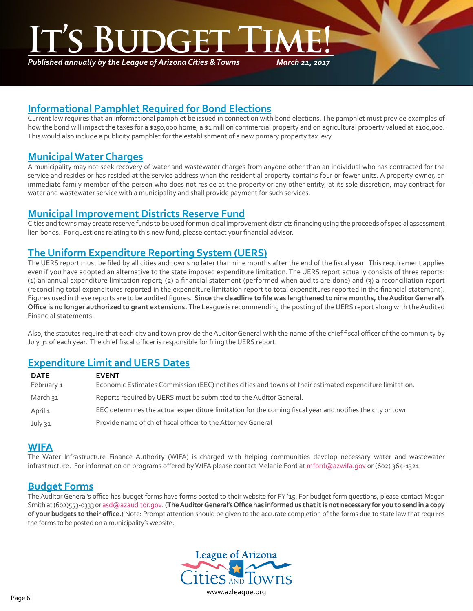# **INGER**

*Published annually by the League of Arizona Cities & Towns*

*March 21, 2017*

## **Informational Pamphlet Required for Bond Elections**

Current law requires that an informational pamphlet be issued in connection with bond elections. The pamphlet must provide examples of how the bond will impact the taxes for a \$250,000 home, a \$1 million commercial property and on agricultural property valued at \$100,000. This would also include a publicity pamphlet for the establishment of a new primary property tax levy.

### **Municipal Water Charges**

٦

A municipality may not seek recovery of water and wastewater charges from anyone other than an individual who has contracted for the service and resides or has resided at the service address when the residential property contains four or fewer units. A property owner, an immediate family member of the person who does not reside at the property or any other entity, at its sole discretion, may contract for water and wastewater service with a municipality and shall provide payment for such services.

### **Municipal Improvement Districts Reserve Fund**

Cities and towns may create reserve funds to be used for municipal improvement districts financing using the proceeds of special assessment lien bonds. For questions relating to this new fund, please contact your financial advisor.

### **The Uniform Expenditure Reporting System (UERS)**

The UERS report must be filed by all cities and towns no later than nine months after the end of the fiscal year. This requirement applies even if you have adopted an alternative to the state imposed expenditure limitation. The UERS report actually consists of three reports: (1) an annual expenditure limitation report; (2) a financial statement (performed when audits are done) and (3) a reconciliation report (reconciling total expenditures reported in the expenditure limitation report to total expenditures reported in the financial statement). Figures used in these reports are to be audited figures. **Since the deadline to file was lengthened to nine months, the Auditor General's Office is no longer authorized to grant extensions.** The League is recommending the posting of the UERS report along with the Audited Financial statements.

Also, the statutes require that each city and town provide the Auditor General with the name of the chief fiscal officer of the community by July 31 of each year. The chief fiscal officer is responsible for filing the UERS report.

### **Expenditure Limit and UERS Dates**

| <b>DATE</b> | <b>EVENT</b>                                                                                              |
|-------------|-----------------------------------------------------------------------------------------------------------|
| February 1  | Economic Estimates Commission (EEC) notifies cities and towns of their estimated expenditure limitation.  |
| March วุ1   | Reports required by UERS must be submitted to the Auditor General.                                        |
| April 1     | EEC determines the actual expenditure limitation for the coming fiscal year and notifies the city or town |
| July 31     | Provide name of chief fiscal officer to the Attorney General                                              |

### **WIFA**

The Water Infrastructure Finance Authority (WIFA) is charged with helping communities develop necessary water and wastewater infrastructure. For information on programs offered by WIFA please contact Melanie Ford at mford@azwifa.gov or (602) 364-1321.

### **Budget Forms**

The Auditor General's office has budget forms have forms posted to their website for FY '15. For budget form questions, please contact Megan Smith at (602)553-0333 or asd@azauditor.gov. **(The Auditor General's Office has informed us that it is not necessary for you to send in a copy of your budgets to their office.)** Note: Prompt attention should be given to the accurate completion of the forms due to state law that requires the forms to be posted on a municipality's website.

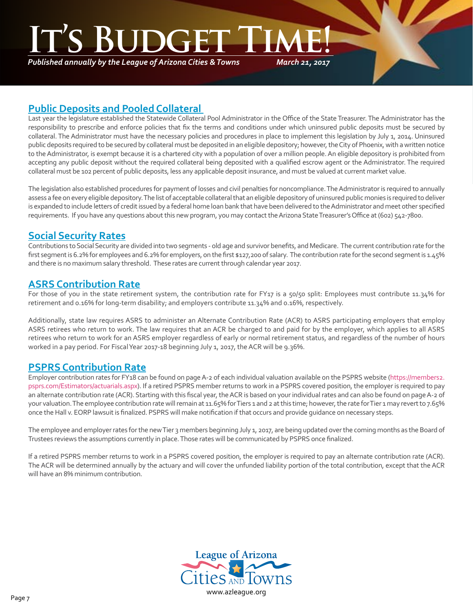# **ITC's Budget**

*Published annually by the League of Arizona Cities & Towns*

*March 21, 2017*

### **Public Deposits and Pooled Collateral**

Last year the legislature established the Statewide Collateral Pool Administrator in the Office of the State Treasurer. The Administrator has the responsibility to prescribe and enforce policies that fix the terms and conditions under which uninsured public deposits must be secured by collateral. The Administrator must have the necessary policies and procedures in place to implement this legislation by July 1, 2014. Uninsured public deposits required to be secured by collateral must be deposited in an eligible depository; however, the City of Phoenix, with a written notice to the Administrator, is exempt because it is a chartered city with a population of over a million people. An eligible depository is prohibited from accepting any public deposit without the required collateral being deposited with a qualified escrow agent or the Administrator. The required collateral must be 102 percent of public deposits, less any applicable deposit insurance, and must be valued at current market value.

The legislation also established procedures for payment of losses and civil penalties for noncompliance. The Administrator is required to annually assess a fee on every eligible depository. The list of acceptable collateral that an eligible depository of uninsured public monies is required to deliver is expanded to include letters of credit issued by a federal home loan bank that have been delivered to the Administrator and meet other specified requirements. If you have any questions about this new program, you may contact the Arizona State Treasurer's Office at (602) 542-7800.

# **Social Security Rates**

٦

Contributions to Social Security are divided into two segments - old age and survivor benefits, and Medicare. The current contribution rate for the first segment is 6.2% for employees and 6.2% for employers, on the first \$127,200 of salary. The contribution rate for the second segment is 1.45% and there is no maximum salary threshold. These rates are current through calendar year 2017.

### **ASRS Contribution Rate**

For those of you in the state retirement system, the contribution rate for FY17 is a 50/50 split: Employees must contribute 11.34% for retirement and 0.16% for long-term disability; and employers contribute 11.34% and 0.16%, respectively.

Additionally, state law requires ASRS to administer an Alternate Contribution Rate (ACR) to ASRS participating employers that employ ASRS retirees who return to work. The law requires that an ACR be charged to and paid for by the employer, which applies to all ASRS retirees who return to work for an ASRS employer regardless of early or normal retirement status, and regardless of the number of hours worked in a pay period. For Fiscal Year 2017-18 beginning July 1, 2017, the ACR will be 9.36%.

### **PSPRS Contribution Rate**

Employer contribution rates for FY18 can be found on page A-2 of each individual valuation available on the PSPRS website [\(https://members2.](https://members2.psprs.com/Estimators/actuarials.aspx) [psprs.com/Estimators/actuarials.aspx\)](https://members2.psprs.com/Estimators/actuarials.aspx). If a retired PSPRS member returns to work in a PSPRS covered position, the employer is required to pay an alternate contribution rate (ACR). Starting with this fiscal year, the ACR is based on your individual rates and can also be found on page A-2 of your valuation. The employee contribution rate will remain at 11.65% for Tiers 1 and 2 at this time; however, the rate for Tier 1 may revert to 7.65% once the Hall v. EORP lawsuit is finalized. PSPRS will make notification if that occurs and provide guidance on necessary steps.

The employee and employer rates for the new Tier 3 members beginning July 1, 2017, are being updated over the coming months as the Board of Trustees reviews the assumptions currently in place. Those rates will be communicated by PSPRS once finalized.

If a retired PSPRS member returns to work in a PSPRS covered position, the employer is required to pay an alternate contribution rate (ACR). The ACR will be determined annually by the actuary and will cover the unfunded liability portion of the total contribution, except that the ACR will have an 8% minimum contribution.

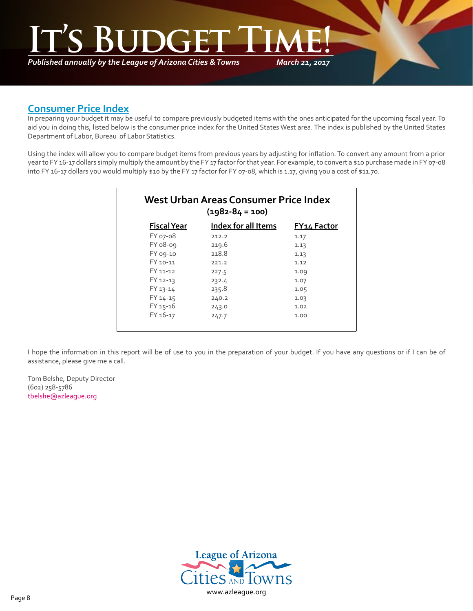# *March 21, 2017* **It's Budget Time!**

*Published annually by the League of Arizona Cities & Towns*

### **Consumer Price Index**

٦

In preparing your budget it may be useful to compare previously budgeted items with the ones anticipated for the upcoming fiscal year. To aid you in doing this, listed below is the consumer price index for the United States West area. The index is published by the United States Department of Labor, Bureau of Labor Statistics.

Using the index will allow you to compare budget items from previous years by adjusting for inflation. To convert any amount from a prior year to FY 16-17 dollars simply multiply the amount by the FY 17 factor for that year. For example, to convert a \$10 purchase made in FY 07-08 into FY 16-17 dollars you would multiply \$10 by the FY 17 factor for FY 07-08, which is 1.17, giving you a cost of \$11.70.

| $(1982 - 84 = 100)$ |                            |                    |  |  |
|---------------------|----------------------------|--------------------|--|--|
| <b>Fiscal Year</b>  | <b>Index for all Items</b> | <u>FY14 Factor</u> |  |  |
| FY 07-08            | 212.2                      | 1.17               |  |  |
| FY 08-09            | 219.6                      | 1.13               |  |  |
| FY 09-10            | 218.8                      | 1.13               |  |  |
| FY 10-11            | 221.2                      | 1.12               |  |  |
| FY 11-12            | 227.5                      | 1.09               |  |  |
| FY 12-13            | 232.4                      | 1.07               |  |  |
| FY 13-14            | 235.8                      | 1.05               |  |  |
| FY 14-15            | 240.2                      | 1.03               |  |  |
| FY 15-16            | 243.0                      | 1.02               |  |  |
| FY 16-17            | 247.7                      | 1.00               |  |  |

I hope the information in this report will be of use to you in the preparation of your budget. If you have any questions or if I can be of assistance, please give me a call.

Tom Belshe, Deputy Director (602) 258-5786 [tbelshe@azleague.org](mailto:tbelshe@azleague.org)

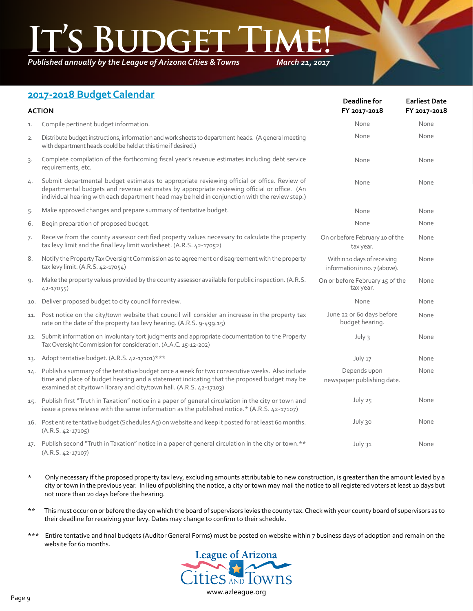*Published annually by the League of Arizona Cities & Towns*

*March 21, 2017*

## **2017-2018 Budget Calendar**

| <b>ACTION</b> |                                                                                                                                                                                                                                                                                              | Deadline for<br>FY 2017-2018                                 | <b>Earliest Date</b><br>FY 2017-2018 |
|---------------|----------------------------------------------------------------------------------------------------------------------------------------------------------------------------------------------------------------------------------------------------------------------------------------------|--------------------------------------------------------------|--------------------------------------|
| 1.            | Compile pertinent budget information.                                                                                                                                                                                                                                                        | None                                                         | None                                 |
| 2.            | Distribute budget instructions, information and work sheets to department heads. (A general meeting<br>with department heads could be held at this time if desired.)                                                                                                                         | None                                                         | None                                 |
| 3.            | Complete compilation of the forthcoming fiscal year's revenue estimates including debt service<br>requirements, etc.                                                                                                                                                                         | None                                                         | None                                 |
| 4.            | Submit departmental budget estimates to appropriate reviewing official or office. Review of<br>departmental budgets and revenue estimates by appropriate reviewing official or office. (An<br>individual hearing with each department head may be held in conjunction with the review step.) | None                                                         | None                                 |
| 5.            | Make approved changes and prepare summary of tentative budget.                                                                                                                                                                                                                               | None                                                         | None                                 |
| 6.            | Begin preparation of proposed budget.                                                                                                                                                                                                                                                        | None                                                         | None                                 |
| 7.            | Receive from the county assessor certified property values necessary to calculate the property<br>tax levy limit and the final levy limit worksheet. (A.R.S. 42-17052)                                                                                                                       | On or before February 10 of the<br>tax year.                 | None                                 |
| 8.            | Notify the Property Tax Oversight Commission as to agreement or disagreement with the property<br>tax levy limit. (A.R.S. 42-17054)                                                                                                                                                          | Within 10 days of receiving<br>information in no. 7 (above). | None                                 |
| 9.            | Make the property values provided by the county assessor available for public inspection. (A.R.S.<br>42-17055)                                                                                                                                                                               | On or before February 15 of the<br>tax year.                 | None                                 |
| 10.           | Deliver proposed budget to city council for review.                                                                                                                                                                                                                                          | None                                                         | None                                 |
| 11.           | Post notice on the city/town website that council will consider an increase in the property tax<br>rate on the date of the property tax levy hearing. (A.R.S. 9-499.15)                                                                                                                      | June 22 or 60 days before<br>budget hearing.                 | None                                 |
| 12.           | Submit information on involuntary tort judgments and appropriate documentation to the Property<br>Tax Oversight Commission for consideration. (A.A.C. 15-12-202)                                                                                                                             | July 3                                                       | None                                 |
| 13.           | Adopt tentative budget. (A.R.S. 42-17101)***                                                                                                                                                                                                                                                 | July 17                                                      | None                                 |
| 14.           | Publish a summary of the tentative budget once a week for two consecutive weeks. Also include<br>time and place of budget hearing and a statement indicating that the proposed budget may be<br>examined at city/town library and city/town hall. (A.R.S. 42-17103)                          | Depends upon<br>newspaper publishing date.                   | None                                 |
| 15.           | Publish first "Truth in Taxation" notice in a paper of general circulation in the city or town and<br>issue a press release with the same information as the published notice.* (A.R.S. 42-17107)                                                                                            | July 25                                                      | None                                 |
|               | 16. Post entire tentative budget (Schedules Ag) on website and keep it posted for at least 60 months.<br>$(A.R.S. 42-17105)$                                                                                                                                                                 | July 30                                                      | None                                 |
| 17.           | Publish second "Truth in Taxation" notice in a paper of general circulation in the city or town.**<br>$(A.R.S. 42-17107)$                                                                                                                                                                    | July 31                                                      | None                                 |

- \* Only necessary if the proposed property tax levy, excluding amounts attributable to new construction, is greater than the amount levied by a city or town in the previous year. In lieu of publishing the notice, a city or town may mail the notice to all registered voters at least 10 days but not more than 20 days before the hearing.
- \*\* This must occur on or before the day on which the board of supervisors levies the county tax. Check with your county board of supervisors as to their deadline for receiving your levy. Dates may change to confirm to their schedule.
- \*\*\* Entire tentative and final budgets (Auditor General Forms) must be posted on website within 7 business days of adoption and remain on the website for 60 months.